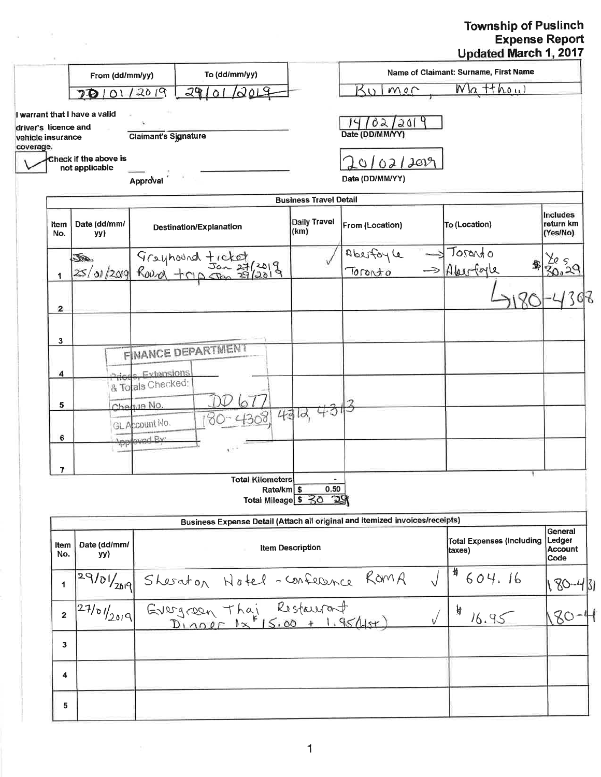## Township of Puslinch<br>Expense Report<br>Updated March 1, 2017

|                                                         |                                         |                             |                                                                                     |                                |                           | Name of Claimant: Surname, First Name      |                                      |
|---------------------------------------------------------|-----------------------------------------|-----------------------------|-------------------------------------------------------------------------------------|--------------------------------|---------------------------|--------------------------------------------|--------------------------------------|
| To (dd/mm/yy)<br>From (dd/mm/yy)<br>29/01/2019<br>12019 |                                         |                             |                                                                                     | Kulmer                         | $W$ la tthou              |                                            |                                      |
|                                                         | 70101                                   |                             |                                                                                     |                                |                           |                                            |                                      |
| driver's licence and<br>vehicle insurance               | warrant that I have a valid             | <b>Claimant's Signature</b> |                                                                                     |                                | 02/201<br>Date (DD/MM/YY) |                                            |                                      |
| coverage.                                               | Check if the above is<br>not applicable |                             |                                                                                     |                                | 0/02/2019                 |                                            |                                      |
|                                                         |                                         | Approval                    |                                                                                     |                                | Date (DD/MM/YY)           |                                            |                                      |
|                                                         |                                         |                             |                                                                                     | <b>Business Travel Detail</b>  |                           |                                            |                                      |
| <b>Item</b><br>No.                                      | Date (dd/mm/<br>yy)                     |                             | Destination/Explanation                                                             | <b>Daily Travel</b><br>(km)    | From (Location)           | To (Location)                              | Includes<br>return km<br>(Yes/No)    |
|                                                         |                                         |                             | 50 9 reyhound ticket                                                                |                                | Aberfoyle                 | Toranto<br>邹                               | 2059<br>30.29                        |
| 1                                                       |                                         |                             |                                                                                     |                                | Tononto                   | $\rightarrow$ Aberforce                    |                                      |
| 2                                                       |                                         |                             |                                                                                     |                                |                           |                                            |                                      |
| 3                                                       |                                         |                             |                                                                                     |                                |                           |                                            |                                      |
|                                                         |                                         |                             | <b>FINANCE DEPARTMENT</b>                                                           |                                |                           |                                            |                                      |
| 4                                                       |                                         | Dringe Extensions           |                                                                                     |                                |                           |                                            |                                      |
|                                                         |                                         | & To als Checked:           |                                                                                     |                                |                           |                                            |                                      |
| 5                                                       |                                         | Cheque No.                  |                                                                                     |                                |                           |                                            |                                      |
|                                                         |                                         | GL Account No.              |                                                                                     | 4312,40                        |                           |                                            |                                      |
| 6                                                       | <del>,'pp</del>                         | aved By:                    |                                                                                     |                                |                           |                                            |                                      |
|                                                         |                                         |                             |                                                                                     |                                |                           |                                            |                                      |
| 7                                                       |                                         |                             | <b>Total Kilometers</b>                                                             |                                |                           |                                            |                                      |
|                                                         |                                         |                             | Rate/km \$                                                                          | 0.50<br>Total Mileage \$ 30 29 |                           |                                            |                                      |
|                                                         |                                         |                             | Business Expense Detail (Attach all original and itemized invoices/receipts)        |                                |                           |                                            |                                      |
| Item<br>No.                                             | Date (dd/mm/<br>yy)                     |                             |                                                                                     | <b>Item Description</b>        |                           | <b>Total Expenses (including</b><br>(taxes | General<br>Ledger<br>Account<br>Code |
| $\mathbf 1$                                             |                                         |                             |                                                                                     |                                |                           | 毋<br>604.16                                | $80 - 43$                            |
| $\mathbf{2}$                                            |                                         |                             | 29/01/2019 Sheraton Notel - Conference ROMA<br>27/01/2019 Evergreen Thai Restaurant |                                |                           | り<br>16.95                                 | 80                                   |
| 3                                                       |                                         |                             |                                                                                     |                                |                           |                                            |                                      |
| 4                                                       |                                         |                             |                                                                                     |                                |                           |                                            |                                      |
|                                                         |                                         |                             |                                                                                     |                                |                           |                                            |                                      |
| 5                                                       |                                         |                             |                                                                                     |                                |                           |                                            |                                      |

 $\mathcal{A}$ 

 $\overline{\mathbb{S}}$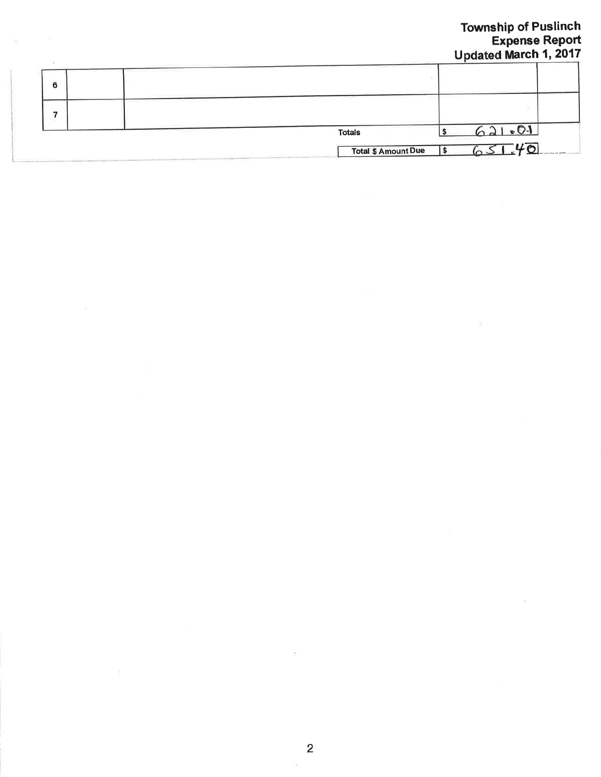|   |                            | <b>Township of Puslinch</b><br><b>Expense Report</b><br><b>Updated March 1, 2017</b> |
|---|----------------------------|--------------------------------------------------------------------------------------|
| 6 |                            |                                                                                      |
|   |                            |                                                                                      |
|   | <b>Totals</b>              | $-0.1$                                                                               |
|   | <b>Total \$ Amount Due</b> | $-40$                                                                                |

 $\frac{1}{2}$ 

 $\sim$ 

 $\alpha$ 

 $\sim 100$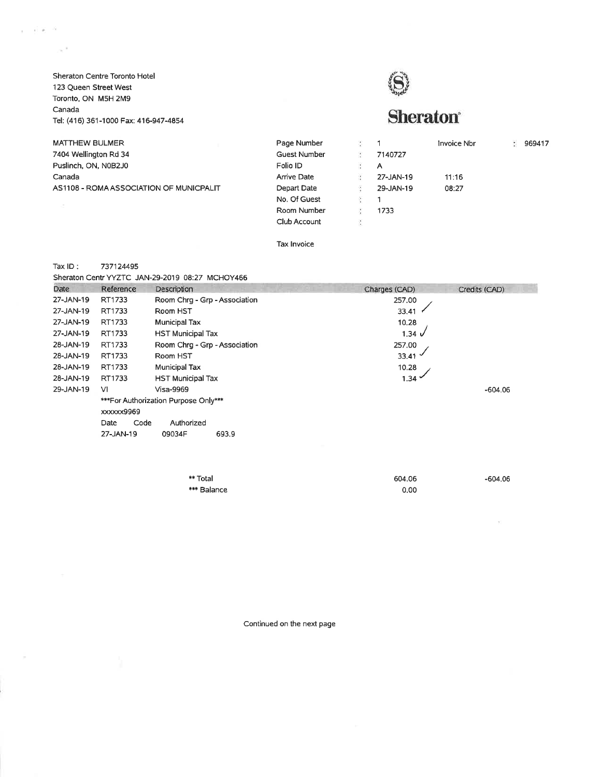Sheraton Centre Toronto Hotel 123 Queen Street West Toronto, ON M5H 2M9 Canada Tel: (416) 361-1000 Fax: 416-947-4854

 $x = 1000$ 

 $\sim$ 

 $\sim^{-1}$ 

## S

## **Sheraton**<sup>®</sup>

| <b>MATTHEW BULMER</b>                   | Page Number         | ÷ |           | Invoice Nbr | 969417 |
|-----------------------------------------|---------------------|---|-----------|-------------|--------|
| 7404 Wellington Rd 34                   | <b>Guest Number</b> | ÷ | 7140727   |             |        |
| Puslinch, ON, N0B2J0                    | Folio ID            | ÷ | A         |             |        |
| Canada                                  | <b>Arrive Date</b>  |   | 27-JAN-19 | 11:16       |        |
| AS1108 - ROMA ASSOCIATION OF MUNICPALIT | Depart Date         |   | 29-JAN-19 | 08:27       |        |
|                                         | No. Of Guest        |   |           |             |        |
|                                         | Room Number         |   | 1733      |             |        |
|                                         | Club Account        |   |           |             |        |
|                                         |                     |   |           |             |        |

Tax lnvoice

## Tax lD: <sup>737124495</sup>

| Date      | Reference                          | Description                          | Charges (CAD)   | Credits (CAD) |  |  |  |
|-----------|------------------------------------|--------------------------------------|-----------------|---------------|--|--|--|
| 27-JAN-19 | RT1733                             | Room Chrq - Grp - Association        | 257.00          |               |  |  |  |
| 27-JAN-19 | RT1733                             | Room HST                             | 33.41           |               |  |  |  |
| 27-JAN-19 | RT1733<br>Municipal Tax            |                                      | 10.28           |               |  |  |  |
| 27-JAN-19 | RT1733<br><b>HST Municipal Tax</b> |                                      | $1.34 \sqrt{ }$ |               |  |  |  |
| 28-JAN-19 | RT1733                             | Room Chrg - Grp - Association        | 257.00          |               |  |  |  |
| 28-JAN-19 | RT1733                             | Room HST                             | 33.41           |               |  |  |  |
| 28-JAN-19 | RT1733                             | Municipal Tax                        | 10.28           |               |  |  |  |
| 28-JAN-19 | RT1733                             | <b>HST Municipal Tax</b>             | 1.34            |               |  |  |  |
| 29-JAN-19 | V1                                 | <b>Visa-9969</b>                     |                 | $-604.06$     |  |  |  |
|           | xxxxxx9969                         | ***For Authorization Purpose Only*** |                 |               |  |  |  |
|           | Code<br>Date                       | Authorized                           |                 |               |  |  |  |
|           | 27-JAN-19                          | 09034F<br>693.9                      |                 |               |  |  |  |

| ** Total    | 604.06 | $-604.06$ |
|-------------|--------|-----------|
| *** Balance | 0.00   |           |

Continued on the next page